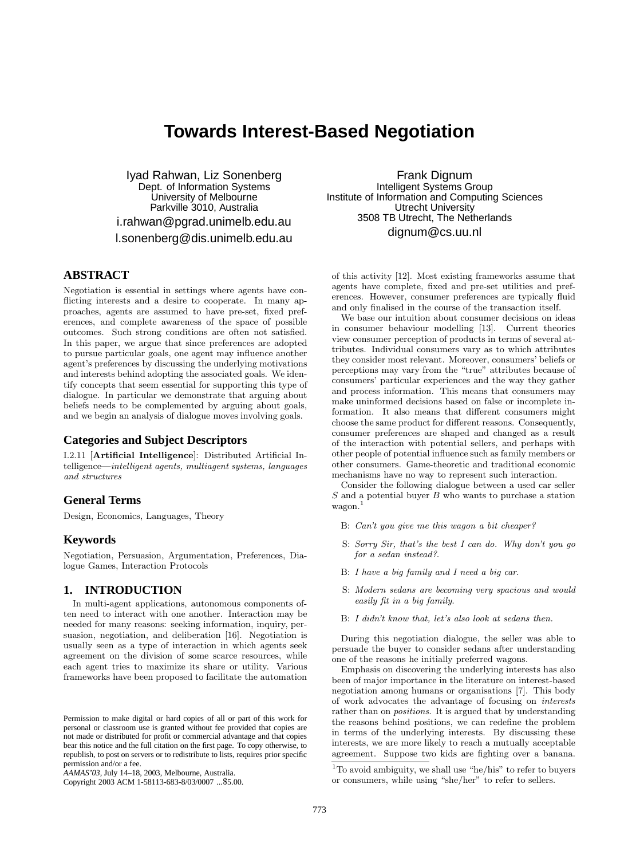# **Towards Interest-Based Negotiation**

Iyad Rahwan, Liz Sonenberg Dept. of Information Systems University of Melbourne Parkville 3010, Australia i.rahwan@pgrad.unimelb.edu.au l.sonenberg@dis.unimelb.edu.au

# **ABSTRACT**

Negotiation is essential in settings where agents have conflicting interests and a desire to cooperate. In many approaches, agents are assumed to have pre-set, fixed preferences, and complete awareness of the space of possible outcomes. Such strong conditions are often not satisfied. In this paper, we argue that since preferences are adopted to pursue particular goals, one agent may influence another agent's preferences by discussing the underlying motivations and interests behind adopting the associated goals. We identify concepts that seem essential for supporting this type of dialogue. In particular we demonstrate that arguing about beliefs needs to be complemented by arguing about goals, and we begin an analysis of dialogue moves involving goals.

## **Categories and Subject Descriptors**

I.2.11 [Artificial Intelligence]: Distributed Artificial Intelligence—intelligent agents, multiagent systems, languages and structures

## **General Terms**

Design, Economics, Languages, Theory

## **Keywords**

Negotiation, Persuasion, Argumentation, Preferences, Dialogue Games, Interaction Protocols

## **1. INTRODUCTION**

In multi-agent applications, autonomous components often need to interact with one another. Interaction may be needed for many reasons: seeking information, inquiry, persuasion, negotiation, and deliberation [16]. Negotiation is usually seen as a type of interaction in which agents seek agreement on the division of some scarce resources, while each agent tries to maximize its share or utility. Various frameworks have been proposed to facilitate the automation

Frank Dignum Intelligent Systems Group Institute of Information and Computing Sciences Utrecht University 3508 TB Utrecht, The Netherlands dignum@cs.uu.nl

of this activity [12]. Most existing frameworks assume that agents have complete, fixed and pre-set utilities and preferences. However, consumer preferences are typically fluid and only finalised in the course of the transaction itself.

We base our intuition about consumer decisions on ideas in consumer behaviour modelling [13]. Current theories view consumer perception of products in terms of several attributes. Individual consumers vary as to which attributes they consider most relevant. Moreover, consumers' beliefs or perceptions may vary from the "true" attributes because of consumers' particular experiences and the way they gather and process information. This means that consumers may make uninformed decisions based on false or incomplete information. It also means that different consumers might choose the same product for different reasons. Consequently, consumer preferences are shaped and changed as a result of the interaction with potential sellers, and perhaps with other people of potential influence such as family members or other consumers. Game-theoretic and traditional economic mechanisms have no way to represent such interaction.

Consider the following dialogue between a used car seller  $S$  and a potential buyer  $B$  who wants to purchase a station wagon.<sup>1</sup>

- B: Can't you give me this wagon a bit cheaper?
- S: Sorry Sir, that's the best I can do. Why don't you go for a sedan instead?.
- B: I have a big family and I need a big car.
- S: Modern sedans are becoming very spacious and would easily fit in a big family.
- B: I didn't know that, let's also look at sedans then.

During this negotiation dialogue, the seller was able to persuade the buyer to consider sedans after understanding one of the reasons he initially preferred wagons.

Emphasis on discovering the underlying interests has also been of major importance in the literature on interest-based negotiation among humans or organisations [7]. This body of work advocates the advantage of focusing on interests rather than on *positions*. It is argued that by understanding the reasons behind positions, we can redefine the problem in terms of the underlying interests. By discussing these interests, we are more likely to reach a mutually acceptable agreement. Suppose two kids are fighting over a banana.

Permission to make digital or hard copies of all or part of this work for personal or classroom use is granted without fee provided that copies are not made or distributed for profit or commercial advantage and that copies bear this notice and the full citation on the first page. To copy otherwise, to republish, to post on servers or to redistribute to lists, requires prior specific permission and/or a fee.

*AAMAS'03,* July 14–18, 2003, Melbourne, Australia.

Copyright 2003 ACM 1-58113-683-8/03/0007 ...\$5.00.

 $1$ <sup>1</sup>To avoid ambiguity, we shall use "he/his" to refer to buyers or consumers, while using "she/her" to refer to sellers.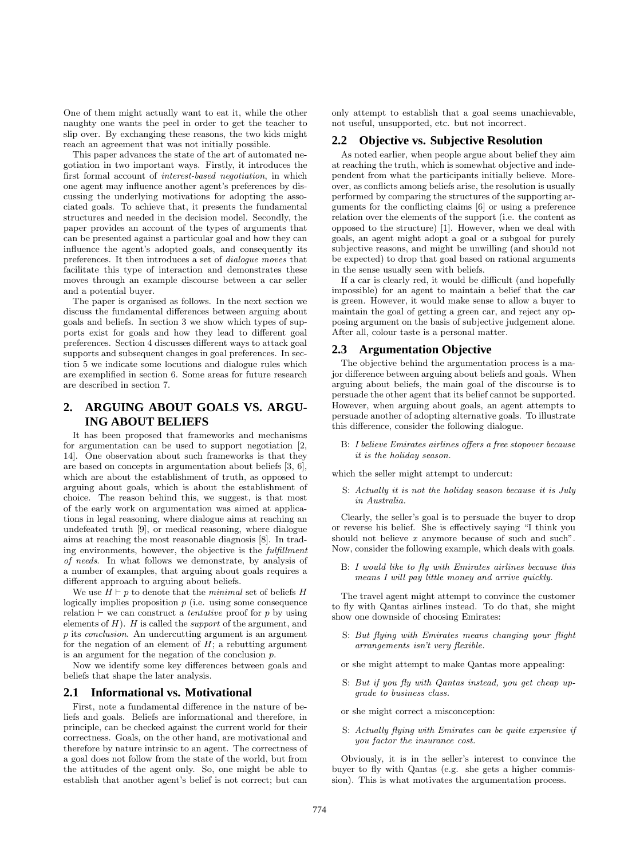One of them might actually want to eat it, while the other naughty one wants the peel in order to get the teacher to slip over. By exchanging these reasons, the two kids might reach an agreement that was not initially possible.

This paper advances the state of the art of automated negotiation in two important ways. Firstly, it introduces the first formal account of interest-based negotiation, in which one agent may influence another agent's preferences by discussing the underlying motivations for adopting the associated goals. To achieve that, it presents the fundamental structures and needed in the decision model. Secondly, the paper provides an account of the types of arguments that can be presented against a particular goal and how they can influence the agent's adopted goals, and consequently its preferences. It then introduces a set of dialogue moves that facilitate this type of interaction and demonstrates these moves through an example discourse between a car seller and a potential buyer.

The paper is organised as follows. In the next section we discuss the fundamental differences between arguing about goals and beliefs. In section 3 we show which types of supports exist for goals and how they lead to different goal preferences. Section 4 discusses different ways to attack goal supports and subsequent changes in goal preferences. In section 5 we indicate some locutions and dialogue rules which are exemplified in section 6. Some areas for future research are described in section 7.

# **2. ARGUING ABOUT GOALS VS. ARGU-ING ABOUT BELIEFS**

It has been proposed that frameworks and mechanisms for argumentation can be used to support negotiation [2, 14]. One observation about such frameworks is that they are based on concepts in argumentation about beliefs [3, 6], which are about the establishment of truth, as opposed to arguing about goals, which is about the establishment of choice. The reason behind this, we suggest, is that most of the early work on argumentation was aimed at applications in legal reasoning, where dialogue aims at reaching an undefeated truth [9], or medical reasoning, where dialogue aims at reaching the most reasonable diagnosis [8]. In trading environments, however, the objective is the fulfillment of needs. In what follows we demonstrate, by analysis of a number of examples, that arguing about goals requires a different approach to arguing about beliefs.

We use  $H \vdash p$  to denote that the minimal set of beliefs H logically implies proposition  $p$  (i.e. using some consequence relation  $\vdash$  we can construct a *tentative* proof for p by using elements of  $H$ ).  $H$  is called the *support* of the argument, and p its conclusion. An undercutting argument is an argument for the negation of an element of  $H$ ; a rebutting argument is an argument for the negation of the conclusion  $p$ .

Now we identify some key differences between goals and beliefs that shape the later analysis.

#### **2.1 Informational vs. Motivational**

First, note a fundamental difference in the nature of beliefs and goals. Beliefs are informational and therefore, in principle, can be checked against the current world for their correctness. Goals, on the other hand, are motivational and therefore by nature intrinsic to an agent. The correctness of a goal does not follow from the state of the world, but from the attitudes of the agent only. So, one might be able to establish that another agent's belief is not correct; but can

only attempt to establish that a goal seems unachievable, not useful, unsupported, etc. but not incorrect.

# **2.2 Objective vs. Subjective Resolution**

As noted earlier, when people argue about belief they aim at reaching the truth, which is somewhat objective and independent from what the participants initially believe. Moreover, as conflicts among beliefs arise, the resolution is usually performed by comparing the structures of the supporting arguments for the conflicting claims [6] or using a preference relation over the elements of the support (i.e. the content as opposed to the structure) [1]. However, when we deal with goals, an agent might adopt a goal or a subgoal for purely subjective reasons, and might be unwilling (and should not be expected) to drop that goal based on rational arguments in the sense usually seen with beliefs.

If a car is clearly red, it would be difficult (and hopefully impossible) for an agent to maintain a belief that the car is green. However, it would make sense to allow a buyer to maintain the goal of getting a green car, and reject any opposing argument on the basis of subjective judgement alone. After all, colour taste is a personal matter.

#### **2.3 Argumentation Objective**

The objective behind the argumentation process is a major difference between arguing about beliefs and goals. When arguing about beliefs, the main goal of the discourse is to persuade the other agent that its belief cannot be supported. However, when arguing about goals, an agent attempts to persuade another of adopting alternative goals. To illustrate this difference, consider the following dialogue.

B: I believe Emirates airlines offers a free stopover because it is the holiday season.

which the seller might attempt to undercut:

S: Actually it is not the holiday season because it is July in Australia.

Clearly, the seller's goal is to persuade the buyer to drop or reverse his belief. She is effectively saying "I think you should not believe  $x$  anymore because of such and such". Now, consider the following example, which deals with goals.

B: I would like to fly with Emirates airlines because this means I will pay little money and arrive quickly.

The travel agent might attempt to convince the customer to fly with Qantas airlines instead. To do that, she might show one downside of choosing Emirates:

- S: But flying with Emirates means changing your flight arrangements isn't very flexible.
- or she might attempt to make Qantas more appealing:
- S: But if you fly with Qantas instead, you get cheap upgrade to business class.
- or she might correct a misconception:
- S: Actually flying with Emirates can be quite expensive if you factor the insurance cost.

Obviously, it is in the seller's interest to convince the buyer to fly with Qantas (e.g. she gets a higher commission). This is what motivates the argumentation process.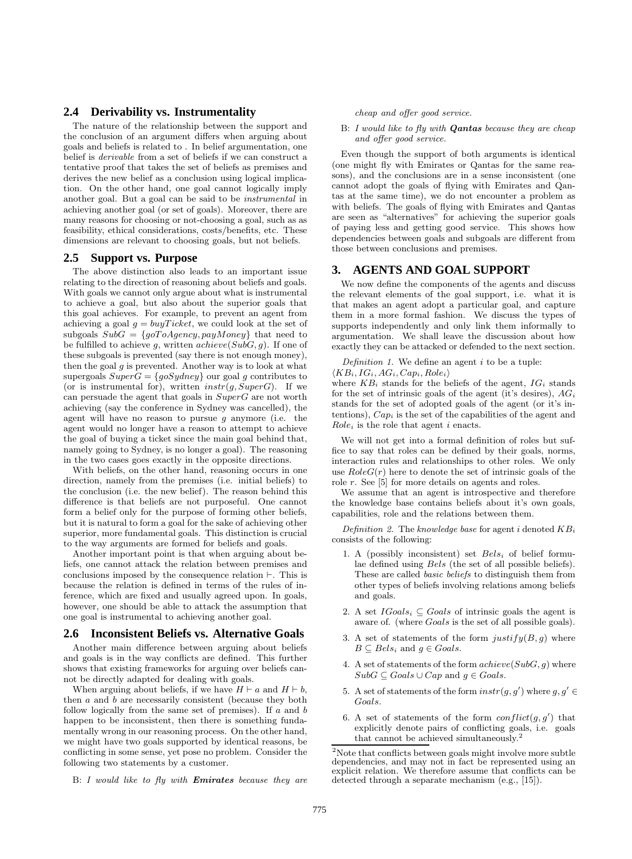## **2.4 Derivability vs. Instrumentality**

The nature of the relationship between the support and the conclusion of an argument differs when arguing about goals and beliefs is related to . In belief argumentation, one belief is derivable from a set of beliefs if we can construct a tentative proof that takes the set of beliefs as premises and derives the new belief as a conclusion using logical implication. On the other hand, one goal cannot logically imply another goal. But a goal can be said to be instrumental in achieving another goal (or set of goals). Moreover, there are many reasons for choosing or not-choosing a goal, such as as feasibility, ethical considerations, costs/benefits, etc. These dimensions are relevant to choosing goals, but not beliefs.

## **2.5 Support vs. Purpose**

The above distinction also leads to an important issue relating to the direction of reasoning about beliefs and goals. With goals we cannot only argue about what is instrumental to achieve a goal, but also about the superior goals that this goal achieves. For example, to prevent an agent from achieving a goal  $g = buyTicket$ , we could look at the set of subgoals  $SubG = \{goTo Agency, payMoney\}$  that need to be fulfilled to achieve q, written  $achieve(SubG, q)$ . If one of these subgoals is prevented (say there is not enough money), then the goal  $g$  is prevented. Another way is to look at what supergoals  $SuperG = {goSydney}$  our goal g contributes to (or is instrumental for), written  $instr(g, SuperG)$ . If we can persuade the agent that goals in SuperG are not worth achieving (say the conference in Sydney was cancelled), the agent will have no reason to pursue  $g$  anymore (i.e. the agent would no longer have a reason to attempt to achieve the goal of buying a ticket since the main goal behind that, namely going to Sydney, is no longer a goal). The reasoning in the two cases goes exactly in the opposite directions.

With beliefs, on the other hand, reasoning occurs in one direction, namely from the premises (i.e. initial beliefs) to the conclusion (i.e. the new belief). The reason behind this difference is that beliefs are not purposeful. One cannot form a belief only for the purpose of forming other beliefs, but it is natural to form a goal for the sake of achieving other superior, more fundamental goals. This distinction is crucial to the way arguments are formed for beliefs and goals.

Another important point is that when arguing about beliefs, one cannot attack the relation between premises and conclusions imposed by the consequence relation  $\vdash$ . This is because the relation is defined in terms of the rules of inference, which are fixed and usually agreed upon. In goals, however, one should be able to attack the assumption that one goal is instrumental to achieving another goal.

#### **2.6 Inconsistent Beliefs vs. Alternative Goals**

Another main difference between arguing about beliefs and goals is in the way conflicts are defined. This further shows that existing frameworks for arguing over beliefs cannot be directly adapted for dealing with goals.

When arguing about beliefs, if we have  $H \vdash a$  and  $H \vdash b$ , then a and b are necessarily consistent (because they both follow logically from the same set of premises). If  $a$  and  $b$ happen to be inconsistent, then there is something fundamentally wrong in our reasoning process. On the other hand, we might have two goals supported by identical reasons, be conflicting in some sense, yet pose no problem. Consider the following two statements by a customer.

 $B: I would like to fly with **Emirates** because they are$ 

cheap and offer good service.

#### B: I would like to fly with **Qantas** because they are cheap and offer good service.

Even though the support of both arguments is identical (one might fly with Emirates or Qantas for the same reasons), and the conclusions are in a sense inconsistent (one cannot adopt the goals of flying with Emirates and Qantas at the same time), we do not encounter a problem as with beliefs. The goals of flying with Emirates and Qantas are seen as "alternatives" for achieving the superior goals of paying less and getting good service. This shows how dependencies between goals and subgoals are different from those between conclusions and premises.

## **3. AGENTS AND GOAL SUPPORT**

We now define the components of the agents and discuss the relevant elements of the goal support, i.e. what it is that makes an agent adopt a particular goal, and capture them in a more formal fashion. We discuss the types of supports independently and only link them informally to argumentation. We shall leave the discussion about how exactly they can be attacked or defended to the next section.

Definition 1. We define an agent  $i$  to be a tuple:  $\langle KB_i, IG_i, AG_i, Cap_i, Role_i \rangle$ 

where  $KB_i$  stands for the beliefs of the agent,  $IG_i$  stands for the set of intrinsic goals of the agent (it's desires),  $AG_i$ stands for the set of adopted goals of the agent (or it's intentions),  $Cap_i$  is the set of the capabilities of the agent and  $Role<sub>i</sub>$  is the role that agent *i* enacts.

We will not get into a formal definition of roles but suffice to say that roles can be defined by their goals, norms, interaction rules and relationships to other roles. We only use  $RoleG(r)$  here to denote the set of intrinsic goals of the role r. See [5] for more details on agents and roles.

We assume that an agent is introspective and therefore the knowledge base contains beliefs about it's own goals, capabilities, role and the relations between them.

Definition 2. The knowledge base for agent i denoted  $KB_i$ consists of the following:

- 1. A (possibly inconsistent) set  $Bels<sub>i</sub>$  of belief formulae defined using Bels (the set of all possible beliefs). These are called *basic beliefs* to distinguish them from other types of beliefs involving relations among beliefs and goals.
- 2. A set  $IGoals_i \subseteq Goals$  of intrinsic goals the agent is aware of. (where Goals is the set of all possible goals).
- 3. A set of statements of the form  $justify(B, q)$  where  $B \subseteq Bels_i$  and  $q \in Goals$ .
- 4. A set of statements of the form  $achieve(SubG, q)$  where  $SubG \subseteq Goals \cup Cap$  and  $g \in Goals$ .
- 5. A set of statements of the form  $instr(g, g')$  where  $g, g' \in$ Goals.
- 6. A set of statements of the form  $conflict(g, g')$  that explicitly denote pairs of conflicting goals, i.e. goals that cannot be achieved simultaneously.<sup>2</sup>

<sup>&</sup>lt;sup>2</sup>Note that conflicts between goals might involve more subtle dependencies, and may not in fact be represented using an explicit relation. We therefore assume that conflicts can be detected through a separate mechanism (e.g., [15]).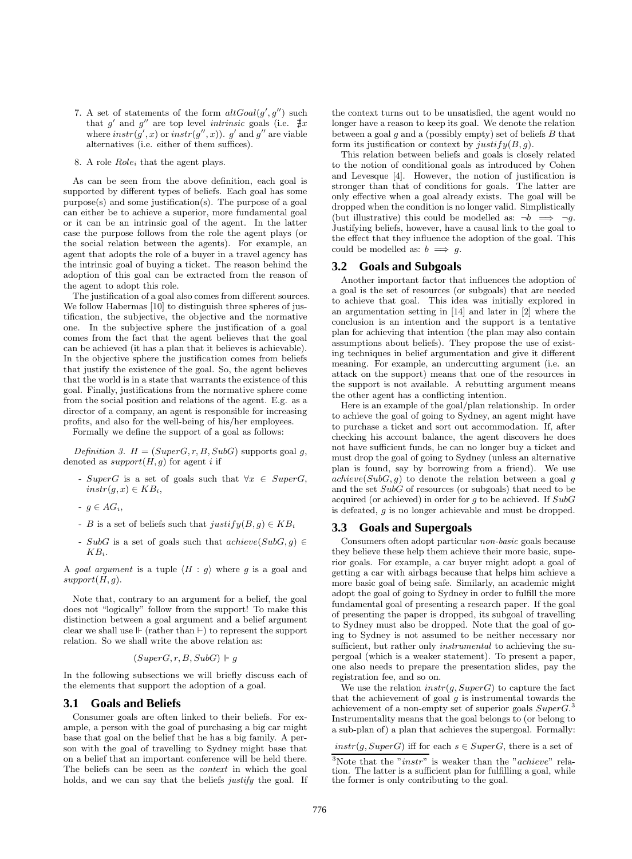- 7. A set of statements of the form  $altGoal(g', g'')$  such that g' and g'' are top level *intrinsic* goals (i.e.  $\sharp x$ where  $instr(g', x)$  or  $instr(g'', x)$ ). g' and g'' are viable alternatives (i.e. either of them suffices).
- 8. A role  $Role<sub>i</sub>$  that the agent plays.

As can be seen from the above definition, each goal is supported by different types of beliefs. Each goal has some purpose(s) and some justification(s). The purpose of a goal can either be to achieve a superior, more fundamental goal or it can be an intrinsic goal of the agent. In the latter case the purpose follows from the role the agent plays (or the social relation between the agents). For example, an agent that adopts the role of a buyer in a travel agency has the intrinsic goal of buying a ticket. The reason behind the adoption of this goal can be extracted from the reason of the agent to adopt this role.

The justification of a goal also comes from different sources. We follow Habermas [10] to distinguish three spheres of justification, the subjective, the objective and the normative one. In the subjective sphere the justification of a goal comes from the fact that the agent believes that the goal can be achieved (it has a plan that it believes is achievable). In the objective sphere the justification comes from beliefs that justify the existence of the goal. So, the agent believes that the world is in a state that warrants the existence of this goal. Finally, justifications from the normative sphere come from the social position and relations of the agent. E.g. as a director of a company, an agent is responsible for increasing profits, and also for the well-being of his/her employees.

Formally we define the support of a goal as follows:

Definition 3.  $H = (SuperG, r, B, SubG)$  supports goal q, denoted as  $support(H, g)$  for agent i if

- SuperG is a set of goals such that  $\forall x \in SuperG,$  $instr(g, x) \in KB_i,$
- $-g \in AG_i$ ,
- B is a set of beliefs such that  $justify(B, q) \in KB_i$
- SubG is a set of goals such that  $achieve(SubG, g) \in$  $KB_i$ .

A goal argument is a tuple  $\langle H : g \rangle$  where g is a goal and  $support(H, q).$ 

Note that, contrary to an argument for a belief, the goal does not "logically" follow from the support! To make this distinction between a goal argument and a belief argument clear we shall use  $\mathbb F$  (rather than  $\mathbb F$ ) to represent the support relation. So we shall write the above relation as:

$$
(SuperG, r, B, SubG) \Vdash g
$$

In the following subsections we will briefly discuss each of the elements that support the adoption of a goal.

#### **3.1 Goals and Beliefs**

Consumer goals are often linked to their beliefs. For example, a person with the goal of purchasing a big car might base that goal on the belief that he has a big family. A person with the goal of travelling to Sydney might base that on a belief that an important conference will be held there. The beliefs can be seen as the *context* in which the goal holds, and we can say that the beliefs justify the goal. If the context turns out to be unsatisfied, the agent would no longer have a reason to keep its goal. We denote the relation between a goal  $g$  and a (possibly empty) set of beliefs  $B$  that form its justification or context by  $justify(B, g)$ .

This relation between beliefs and goals is closely related to the notion of conditional goals as introduced by Cohen and Levesque [4]. However, the notion of justification is stronger than that of conditions for goals. The latter are only effective when a goal already exists. The goal will be dropped when the condition is no longer valid. Simplistically (but illustrative) this could be modelled as:  $\neg b \implies \neg g$ . Justifying beliefs, however, have a causal link to the goal to the effect that they influence the adoption of the goal. This could be modelled as:  $b \implies q$ .

#### **3.2 Goals and Subgoals**

Another important factor that influences the adoption of a goal is the set of resources (or subgoals) that are needed to achieve that goal. This idea was initially explored in an argumentation setting in [14] and later in [2] where the conclusion is an intention and the support is a tentative plan for achieving that intention (the plan may also contain assumptions about beliefs). They propose the use of existing techniques in belief argumentation and give it different meaning. For example, an undercutting argument (i.e. an attack on the support) means that one of the resources in the support is not available. A rebutting argument means the other agent has a conflicting intention.

Here is an example of the goal/plan relationship. In order to achieve the goal of going to Sydney, an agent might have to purchase a ticket and sort out accommodation. If, after checking his account balance, the agent discovers he does not have sufficient funds, he can no longer buy a ticket and must drop the goal of going to Sydney (unless an alternative plan is found, say by borrowing from a friend). We use  $achieve(SubG, g)$  to denote the relation between a goal g and the set  $SubG$  of resources (or subgoals) that need to be acquired (or achieved) in order for  $g$  to be achieved. If  $SubG$ is defeated, g is no longer achievable and must be dropped.

#### **3.3 Goals and Supergoals**

Consumers often adopt particular non-basic goals because they believe these help them achieve their more basic, superior goals. For example, a car buyer might adopt a goal of getting a car with airbags because that helps him achieve a more basic goal of being safe. Similarly, an academic might adopt the goal of going to Sydney in order to fulfill the more fundamental goal of presenting a research paper. If the goal of presenting the paper is dropped, its subgoal of travelling to Sydney must also be dropped. Note that the goal of going to Sydney is not assumed to be neither necessary nor sufficient, but rather only *instrumental* to achieving the supergoal (which is a weaker statement). To present a paper, one also needs to prepare the presentation slides, pay the registration fee, and so on.

We use the relation  $instr(g, SuperG)$  to capture the fact that the achievement of goal  $g$  is instrumental towards the achievement of a non-empty set of superior goals  $SuperG$ . Instrumentality means that the goal belongs to (or belong to a sub-plan of) a plan that achieves the supergoal. Formally:

 $instr(g, SuperG)$  iff for each  $s \in SuperG$ , there is a set of

 $3$ Note that the "instr" is weaker than the "achieve" relation. The latter is a sufficient plan for fulfilling a goal, while the former is only contributing to the goal.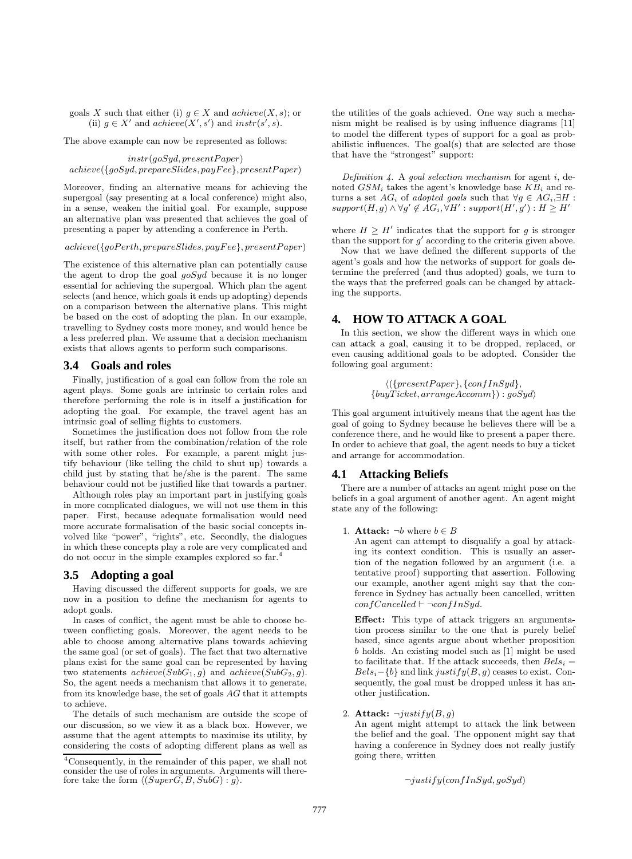goals X such that either (i)  $q \in X$  and  $achieve(X, s)$ ; or (ii)  $g \in X'$  and  $achieve(X', s')$  and  $instr(s', s)$ .

The above example can now be represented as follows:

instr(goSyd, presentPaper) achieve({goSyd, prepareSlides, payFee}, presentPaper)

Moreover, finding an alternative means for achieving the supergoal (say presenting at a local conference) might also, in a sense, weaken the initial goal. For example, suppose an alternative plan was presented that achieves the goal of presenting a paper by attending a conference in Perth.

achieve({goPerth, prepareSlides, payFee}, presentPaper)

The existence of this alternative plan can potentially cause the agent to drop the goal  $q \circ Syd$  because it is no longer essential for achieving the supergoal. Which plan the agent selects (and hence, which goals it ends up adopting) depends on a comparison between the alternative plans. This might be based on the cost of adopting the plan. In our example, travelling to Sydney costs more money, and would hence be a less preferred plan. We assume that a decision mechanism exists that allows agents to perform such comparisons.

#### **3.4 Goals and roles**

Finally, justification of a goal can follow from the role an agent plays. Some goals are intrinsic to certain roles and therefore performing the role is in itself a justification for adopting the goal. For example, the travel agent has an intrinsic goal of selling flights to customers.

Sometimes the justification does not follow from the role itself, but rather from the combination/relation of the role with some other roles. For example, a parent might justify behaviour (like telling the child to shut up) towards a child just by stating that he/she is the parent. The same behaviour could not be justified like that towards a partner.

Although roles play an important part in justifying goals in more complicated dialogues, we will not use them in this paper. First, because adequate formalisation would need more accurate formalisation of the basic social concepts involved like "power", "rights", etc. Secondly, the dialogues in which these concepts play a role are very complicated and do not occur in the simple examples explored so far.<sup>4</sup>

#### **3.5 Adopting a goal**

Having discussed the different supports for goals, we are now in a position to define the mechanism for agents to adopt goals.

In cases of conflict, the agent must be able to choose between conflicting goals. Moreover, the agent needs to be able to choose among alternative plans towards achieving the same goal (or set of goals). The fact that two alternative plans exist for the same goal can be represented by having two statements  $achieve(SubG_1, g)$  and  $achieve(SubG_2, g)$ . So, the agent needs a mechanism that allows it to generate, from its knowledge base, the set of goals AG that it attempts to achieve.

The details of such mechanism are outside the scope of our discussion, so we view it as a black box. However, we assume that the agent attempts to maximise its utility, by considering the costs of adopting different plans as well as

the utilities of the goals achieved. One way such a mechanism might be realised is by using influence diagrams [11] to model the different types of support for a goal as probabilistic influences. The goal(s) that are selected are those that have the "strongest" support:

Definition 4. A goal selection mechanism for agent  $i$ , denoted  $GSM_i$  takes the agent's knowledge base  $KB_i$  and returns a set  $AG_i$  of adopted goals such that  $\forall g \in AG_i$ , $\exists H$ :  $support(H, g) \land \forall g' \notin \overline{AG_i}, \forall H' : support(H', g') : H \geq H'$ 

where  $H \geq H'$  indicates that the support for g is stronger than the support for  $g'$  according to the criteria given above.

Now that we have defined the different supports of the agent's goals and how the networks of support for goals determine the preferred (and thus adopted) goals, we turn to the ways that the preferred goals can be changed by attacking the supports.

# **4. HOW TO ATTACK A GOAL**

In this section, we show the different ways in which one can attack a goal, causing it to be dropped, replaced, or even causing additional goals to be adopted. Consider the following goal argument:

> $\langle (\{presentPaper\}, \{confInSyd\},\$  ${buyTicket, arrangeAccount}$ ):  $qoSyd$

This goal argument intuitively means that the agent has the goal of going to Sydney because he believes there will be a conference there, and he would like to present a paper there. In order to achieve that goal, the agent needs to buy a ticket and arrange for accommodation.

#### **4.1 Attacking Beliefs**

There are a number of attacks an agent might pose on the beliefs in a goal argument of another agent. An agent might state any of the following:

#### 1. Attack:  $\neg b$  where  $b \in B$

An agent can attempt to disqualify a goal by attacking its context condition. This is usually an assertion of the negation followed by an argument (i.e. a tentative proof) supporting that assertion. Following our example, another agent might say that the conference in Sydney has actually been cancelled, written  $confCancelled \vdash \neg confInSyd.$ 

Effect: This type of attack triggers an argumentation process similar to the one that is purely belief based, since agents argue about whether proposition b holds. An existing model such as [1] might be used to facilitate that. If the attack succeeds, then  $Bels_i =$  $Bels_i-\{b\}$  and link justify(B, g) ceases to exist. Consequently, the goal must be dropped unless it has another justification.

#### 2. Attack:  $\neg justify(B, g)$

An agent might attempt to attack the link between the belief and the goal. The opponent might say that having a conference in Sydney does not really justify going there, written

 $\neg justify(confInSyd, goSyd)$ 

<sup>4</sup>Consequently, in the remainder of this paper, we shall not consider the use of roles in arguments. Arguments will therefore take the form  $\langle (SuperG, B, SubG) : g \rangle$ .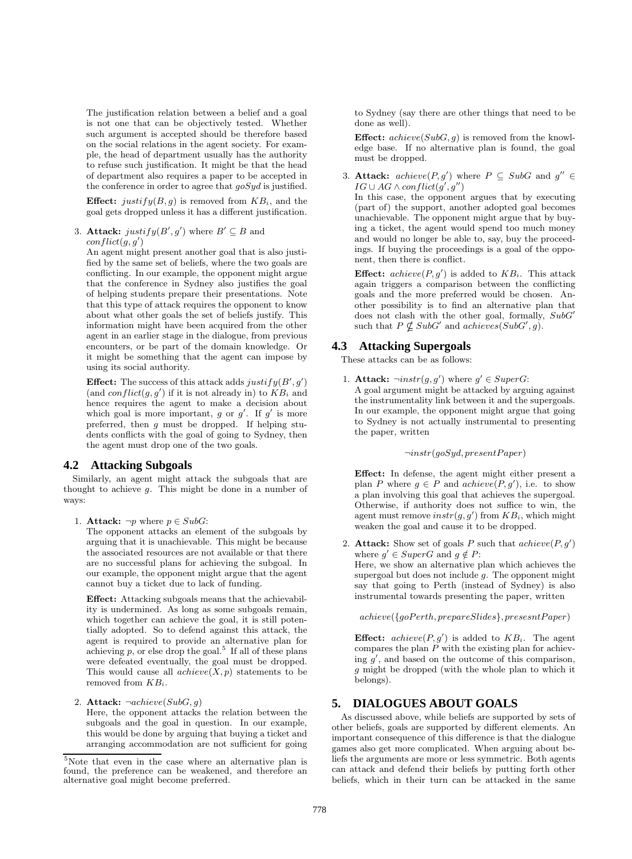The justification relation between a belief and a goal is not one that can be objectively tested. Whether such argument is accepted should be therefore based on the social relations in the agent society. For example, the head of department usually has the authority to refuse such justification. It might be that the head of department also requires a paper to be accepted in the conference in order to agree that  $q \circ Syd$  is justified.

**Effect:** justify $(B, g)$  is removed from  $KB_i$ , and the goal gets dropped unless it has a different justification.

3. Attack:  $justify(B', g')$  where  $B' \subseteq B$  and  $conflict(g, g')$ 

An agent might present another goal that is also justified by the same set of beliefs, where the two goals are conflicting. In our example, the opponent might argue that the conference in Sydney also justifies the goal of helping students prepare their presentations. Note that this type of attack requires the opponent to know about what other goals the set of beliefs justify. This information might have been acquired from the other agent in an earlier stage in the dialogue, from previous encounters, or be part of the domain knowledge. Or it might be something that the agent can impose by using its social authority.

**Effect:** The success of this attack adds  $justify(B', g')$ (and conflict(g, g') if it is not already in) to  $KB_i$  and hence requires the agent to make a decision about which goal is more important, g or  $g'$ . If  $g'$  is more preferred, then g must be dropped. If helping students conflicts with the goal of going to Sydney, then the agent must drop one of the two goals.

#### **4.2 Attacking Subgoals**

Similarly, an agent might attack the subgoals that are thought to achieve g. This might be done in a number of ways:

1. Attack:  $\neg p$  where  $p \in SubG$ :

The opponent attacks an element of the subgoals by arguing that it is unachievable. This might be because the associated resources are not available or that there are no successful plans for achieving the subgoal. In our example, the opponent might argue that the agent cannot buy a ticket due to lack of funding.

Effect: Attacking subgoals means that the achievability is undermined. As long as some subgoals remain, which together can achieve the goal, it is still potentially adopted. So to defend against this attack, the agent is required to provide an alternative plan for achieving  $p$ , or else drop the goal.<sup>5</sup> If all of these plans were defeated eventually, the goal must be dropped. This would cause all  $achieve(X, p)$  statements to be removed from  $KB_i$ .

2. Attack:  $\neg achieve(SubG, g)$ 

Here, the opponent attacks the relation between the subgoals and the goal in question. In our example, this would be done by arguing that buying a ticket and arranging accommodation are not sufficient for going to Sydney (say there are other things that need to be done as well).

**Effect:**  $achieve(SubG, q)$  is removed from the knowledge base. If no alternative plan is found, the goal must be dropped.

3. Attack:  $achieve(P, g')$  where  $P \subseteq SubG$  and  $g'' \in$  $IG \cup AG \wedge conflict(g', g'')$ 

In this case, the opponent argues that by executing (part of) the support, another adopted goal becomes unachievable. The opponent might argue that by buying a ticket, the agent would spend too much money and would no longer be able to, say, buy the proceedings. If buying the proceedings is a goal of the opponent, then there is conflict.

**Effect:**  $achieve(P, g')$  is added to  $KB_i$ . This attack again triggers a comparison between the conflicting goals and the more preferred would be chosen. Another possibility is to find an alternative plan that does not clash with the other goal, formally,  $SubG'$ such that  $P \nsubseteq SubG'$  and  $achieves(SubG', g)$ .

# **4.3 Attacking Supergoals**

These attacks can be as follows:

1. Attack:  $\neg instr(g, g')$  where  $g' \in SuperG$ : A goal argument might be attacked by arguing against the instrumentality link between it and the supergoals. In our example, the opponent might argue that going to Sydney is not actually instrumental to presenting the paper, written

$$
\neg instr(goSyd, present Paper)
$$

Effect: In defense, the agent might either present a plan P where  $g \in P$  and  $\phi(e, g')$ , i.e. to show a plan involving this goal that achieves the supergoal. Otherwise, if authority does not suffice to win, the agent must remove  $instr(g, g')$  from  $KB_i$ , which might weaken the goal and cause it to be dropped.

2. Attack: Show set of goals P such that  $achieve(P, g')$ where  $g' \in SuperG$  and  $g \notin P$ : Here, we show an alternative plan which achieves the supergoal but does not include  $g$ . The opponent might say that going to Perth (instead of Sydney) is also instrumental towards presenting the paper, written

achieve({goPerth, prepareSlides}, presesntPaper)

**Effect:**  $achieve(P, g')$  is added to  $KB_i$ . The agent compares the plan  $P$  with the existing plan for achieving  $g'$ , and based on the outcome of this comparison, g might be dropped (with the whole plan to which it belongs).

# **5. DIALOGUES ABOUT GOALS**

As discussed above, while beliefs are supported by sets of other beliefs, goals are supported by different elements. An important consequence of this difference is that the dialogue games also get more complicated. When arguing about beliefs the arguments are more or less symmetric. Both agents can attack and defend their beliefs by putting forth other beliefs, which in their turn can be attacked in the same

<sup>5</sup>Note that even in the case where an alternative plan is found, the preference can be weakened, and therefore an alternative goal might become preferred.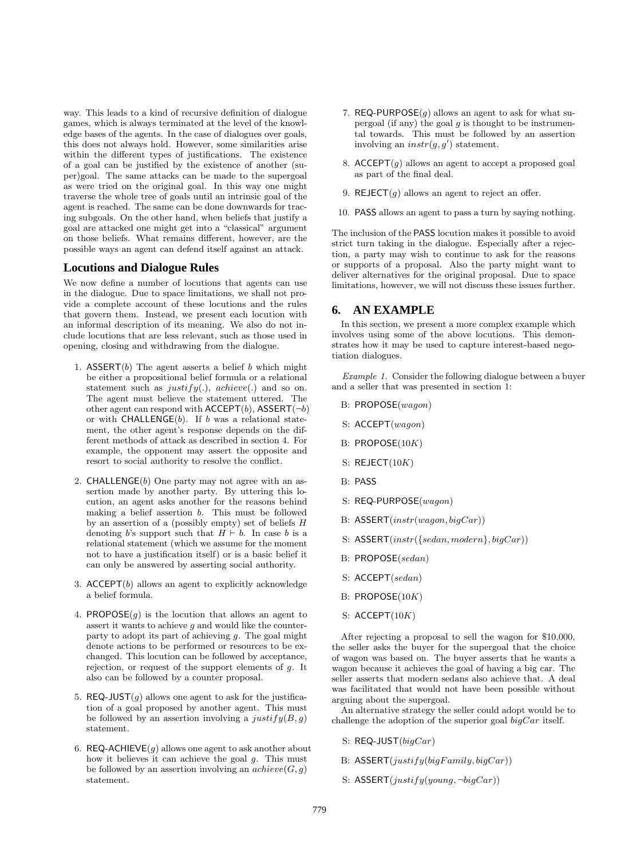way. This leads to a kind of recursive definition of dialogue games, which is always terminated at the level of the knowledge bases of the agents. In the case of dialogues over goals, this does not always hold. However, some similarities arise within the different types of justifications. The existence of a goal can be justified by the existence of another (super)goal. The same attacks can be made to the supergoal as were tried on the original goal. In this way one might traverse the whole tree of goals until an intrinsic goal of the agent is reached. The same can be done downwards for tracing subgoals. On the other hand, when beliefs that justify a goal are attacked one might get into a "classical" argument on those beliefs. What remains different, however, are the possible ways an agent can defend itself against an attack.

# **Locutions and Dialogue Rules**

We now define a number of locutions that agents can use in the dialogue. Due to space limitations, we shall not provide a complete account of these locutions and the rules that govern them. Instead, we present each locution with an informal description of its meaning. We also do not include locutions that are less relevant, such as those used in opening, closing and withdrawing from the dialogue.

- 1. ASSERT $(b)$  The agent asserts a belief b which might be either a propositional belief formula or a relational statement such as  $justify(.)$ ,  $achieve(.)$  and so on. The agent must believe the statement uttered. The other agent can respond with  $\mathsf{ACCEPT}(b)$ ,  $\mathsf{ASSENT}(\neg b)$ or with CHALLENGE $(b)$ . If b was a relational statement, the other agent's response depends on the different methods of attack as described in section 4. For example, the opponent may assert the opposite and resort to social authority to resolve the conflict.
- 2. **CHALLENGE** $(b)$  One party may not agree with an assertion made by another party. By uttering this locution, an agent asks another for the reasons behind making a belief assertion b. This must be followed by an assertion of a (possibly empty) set of beliefs H denoting b's support such that  $H \vdash b$ . In case b is a relational statement (which we assume for the moment not to have a justification itself) or is a basic belief it can only be answered by asserting social authority.
- 3.  $ACCEPT(b)$  allows an agent to explicitly acknowledge a belief formula.
- 4. PROPOSE $(q)$  is the locution that allows an agent to assert it wants to achieve  $q$  and would like the counterparty to adopt its part of achieving  $g$ . The goal might denote actions to be performed or resources to be exchanged. This locution can be followed by acceptance, rejection, or request of the support elements of g. It also can be followed by a counter proposal.
- 5. REQ-JUST $(q)$  allows one agent to ask for the justification of a goal proposed by another agent. This must be followed by an assertion involving a justify( $B, g$ ) statement.
- 6. REQ-ACHIEVE $(g)$  allows one agent to ask another about how it believes it can achieve the goal  $g$ . This must be followed by an assertion involving an  $achieve(G, g)$ statement.
- 7. REQ-PURPOSE $(q)$  allows an agent to ask for what supergoal (if any) the goal  $q$  is thought to be instrumental towards. This must be followed by an assertion involving an  $instr(g, g')$  statement.
- 8.  $\text{ACCEPT}(g)$  allows an agent to accept a proposed goal as part of the final deal.
- 9. REJECT $(q)$  allows an agent to reject an offer.
- 10. PASS allows an agent to pass a turn by saying nothing.

The inclusion of the PASS locution makes it possible to avoid strict turn taking in the dialogue. Especially after a rejection, a party may wish to continue to ask for the reasons or supports of a proposal. Also the party might want to deliver alternatives for the original proposal. Due to space limitations, however, we will not discuss these issues further.

# **6. AN EXAMPLE**

In this section, we present a more complex example which involves using some of the above locutions. This demonstrates how it may be used to capture interest-based negotiation dialogues.

Example 1. Consider the following dialogue between a buyer and a seller that was presented in section 1:

- B: PROPOSE(wagon)
- S: ACCEPT(wagon)
- $B: PROPOSE(10K)$
- S: REJECT $(10K)$
- B: PASS
- S: REQ-PURPOSE(wagon)
- B: ASSERT $(instr(wagon, bigCar))$
- S:  $ASSERT(instr({\text{sedan}}, \text{modern}), \text{bigCar})$ )
- B: PROPOSE(sedan)
- S: ACCEPT(sedan)
- B: PROPOSE $(10K)$
- S: ACCEPT $(10K)$

After rejecting a proposal to sell the wagon for \$10,000, the seller asks the buyer for the supergoal that the choice of wagon was based on. The buyer asserts that he wants a wagon because it achieves the goal of having a big car. The seller asserts that modern sedans also achieve that. A deal was facilitated that would not have been possible without arguing about the supergoal.

An alternative strategy the seller could adopt would be to challenge the adoption of the superior goal  $biqCar$  itself.

- S: REQ-JUST(bigCar)
- B:  $ASSENT(justify(bigFamily, bigCar))$
- S: ASSERT $(jusitfy(young, \neg bigCar))$